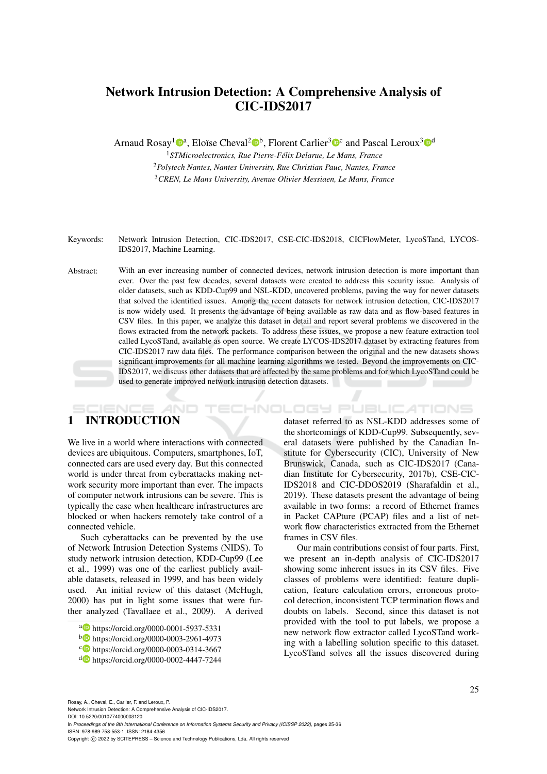# Network Intrusion Detection: A Comprehensive Analysis of CIC-IDS2017

Arnaud Rosay<sup>1</sup><sup>®</sup>, Eloïse Cheval<sup>2</sup><sup>®</sup>, Florent Carlier<sup>3</sup><sup>®</sup> and Pascal Leroux<sup>3</sup><sup>®</sup>

<sup>1</sup>*STMicroelectronics, Rue Pierre-Félix Delarue, Le Mans, France* <sup>2</sup>*Polytech Nantes, Nantes University, Rue Christian Pauc, Nantes, France* <sup>3</sup>*CREN, Le Mans University, Avenue Olivier Messiaen, Le Mans, France*

Keywords: Network Intrusion Detection, CIC-IDS2017, CSE-CIC-IDS2018, CICFlowMeter, LycoSTand, LYCOS-IDS2017, Machine Learning.

Abstract: With an ever increasing number of connected devices, network intrusion detection is more important than ever. Over the past few decades, several datasets were created to address this security issue. Analysis of older datasets, such as KDD-Cup99 and NSL-KDD, uncovered problems, paving the way for newer datasets that solved the identified issues. Among the recent datasets for network intrusion detection, CIC-IDS2017 is now widely used. It presents the advantage of being available as raw data and as flow-based features in CSV files. In this paper, we analyze this dataset in detail and report several problems we discovered in the flows extracted from the network packets. To address these issues, we propose a new feature extraction tool called LycoSTand, available as open source. We create LYCOS-IDS2017 dataset by extracting features from CIC-IDS2017 raw data files. The performance comparison between the original and the new datasets shows significant improvements for all machine learning algorithms we tested. Beyond the improvements on CIC-IDS2017, we discuss other datasets that are affected by the same problems and for which LycoSTand could be used to generate improved network intrusion detection datasets.

# 1 INTRODUCTION

We live in a world where interactions with connected devices are ubiquitous. Computers, smartphones, IoT, connected cars are used every day. But this connected world is under threat from cyberattacks making network security more important than ever. The impacts of computer network intrusions can be severe. This is typically the case when healthcare infrastructures are blocked or when hackers remotely take control of a connected vehicle.

**AND** 

Such cyberattacks can be prevented by the use of Network Intrusion Detection Systems (NIDS). To study network intrusion detection, KDD-Cup99 (Lee et al., 1999) was one of the earliest publicly available datasets, released in 1999, and has been widely used. An initial review of this dataset (McHugh, 2000) has put in light some issues that were further analyzed (Tavallaee et al., 2009). A derived

dataset referred to as NSL-KDD addresses some of the shortcomings of KDD-Cup99. Subsequently, several datasets were published by the Canadian Institute for Cybersecurity (CIC), University of New Brunswick, Canada, such as CIC-IDS2017 (Canadian Institute for Cybersecurity, 2017b), CSE-CIC-IDS2018 and CIC-DDOS2019 (Sharafaldin et al., 2019). These datasets present the advantage of being available in two forms: a record of Ethernet frames in Packet CAPture (PCAP) files and a list of network flow characteristics extracted from the Ethernet frames in CSV files.

HNOLOGY PUBLICATIONS

Our main contributions consist of four parts. First, we present an in-depth analysis of CIC-IDS2017 showing some inherent issues in its CSV files. Five classes of problems were identified: feature duplication, feature calculation errors, erroneous protocol detection, inconsistent TCP termination flows and doubts on labels. Second, since this dataset is not provided with the tool to put labels, we propose a new network flow extractor called LycoSTand working with a labelling solution specific to this dataset. LycoSTand solves all the issues discovered during

Rosay, A., Cheval, E., Carlier, F. and Leroux, P.

Network Intrusion Detection: A Comprehensive Analysis of CIC-IDS2017. DOI: 10.5220/0010774000003120

In *Proceedings of the 8th International Conference on Information Systems Security and Privacy (ICISSP 2022)*, pages 25-36 ISBN: 978-989-758-553-1; ISSN: 2184-4356

Copyright (C) 2022 by SCITEPRESS - Science and Technology Publications, Lda. All rights reserved

a https://orcid.org/0000-0001-5937-5331

<sup>b</sup> https://orcid.org/0000-0003-2961-4973

c https://orcid.org/0000-0003-0314-3667

<sup>d</sup> https://orcid.org/0000-0002-4447-7244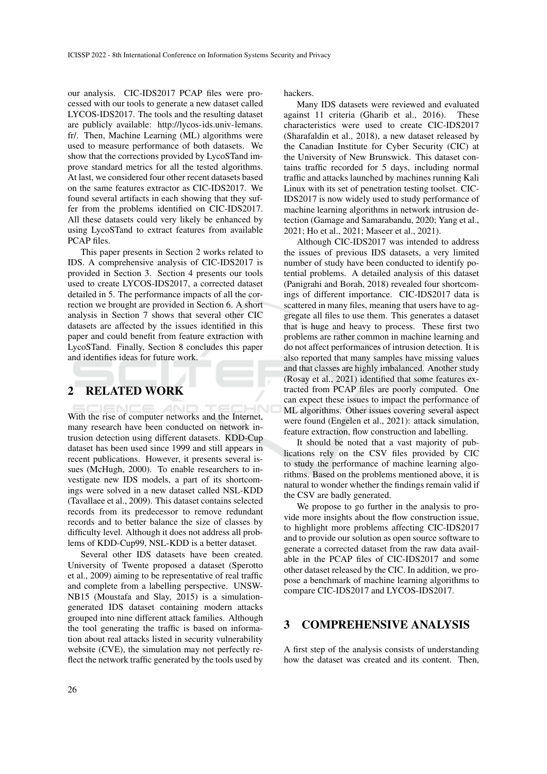our analysis. CIC-IDS2017 PCAP files were processed with our tools to generate a new dataset called LYCOS-IDS2017. The tools and the resulting dataset are publicly available: http://lycos-ids.univ-lemans. fr/. Then, Machine Learning (ML) algorithms were used to measure performance of both datasets. We show that the corrections provided by LycoSTand improve standard metrics for all the tested algorithms. At last, we considered four other recent datasets based on the same features extractor as CIC-IDS2017. We found several artifacts in each showing that they suffer from the problems identified on CIC-IDS2017. All these datasets could very likely be enhanced by using LycoSTand to extract features from available PCAP files.

This paper presents in Section 2 works related to IDS. A comprehensive analysis of CIC-IDS2017 is provided in Section 3. Section 4 presents our tools used to create LYCOS-IDS2017, a corrected dataset detailed in 5. The performance impacts of all the correction we brought are provided in Section 6. A short analysis in Section 7 shows that several other CIC datasets are affected by the issues identified in this paper and could benefit from feature extraction with LycoSTand. Finally, Section 8 concludes this paper and identifies ideas for future work.

## 2 RELATED WORK

With the rise of computer networks and the Internet, many research have been conducted on network intrusion detection using different datasets. KDD-Cup dataset has been used since 1999 and still appears in recent publications. However, it presents several issues (McHugh, 2000). To enable researchers to investigate new IDS models, a part of its shortcomings were solved in a new dataset called NSL-KDD (Tavallaee et al., 2009). This dataset contains selected records from its predecessor to remove redundant records and to better balance the size of classes by difficulty level. Although it does not address all problems of KDD-Cup99, NSL-KDD is a better dataset.

Several other IDS datasets have been created. University of Twente proposed a dataset (Sperotto et al., 2009) aiming to be representative of real traffic and complete from a labelling perspective. UNSW-NB15 (Moustafa and Slay, 2015) is a simulationgenerated IDS dataset containing modern attacks grouped into nine different attack families. Although the tool generating the traffic is based on information about real attacks listed in security vulnerability website (CVE), the simulation may not perfectly reflect the network traffic generated by the tools used by

hackers.

Many IDS datasets were reviewed and evaluated against 11 criteria (Gharib et al., 2016). These characteristics were used to create CIC-IDS2017 (Sharafaldin et al., 2018), a new dataset released by the Canadian Institute for Cyber Security (CIC) at the University of New Brunswick. This dataset contains traffic recorded for 5 days, including normal traffic and attacks launched by machines running Kali Linux with its set of penetration testing toolset. CIC-IDS2017 is now widely used to study performance of machine learning algorithms in network intrusion detection (Gamage and Samarabandu, 2020; Yang et al., 2021; Ho et al., 2021; Maseer et al., 2021).

Although CIC-IDS2017 was intended to address the issues of previous IDS datasets, a very limited number of study have been conducted to identify potential problems. A detailed analysis of this dataset (Panigrahi and Borah, 2018) revealed four shortcomings of different importance. CIC-IDS2017 data is scattered in many files, meaning that users have to aggregate all files to use them. This generates a dataset that is huge and heavy to process. These first two problems are rather common in machine learning and do not affect performances of intrusion detection. It is also reported that many samples have missing values and that classes are highly imbalanced. Another study (Rosay et al., 2021) identified that some features extracted from PCAP files are poorly computed. One can expect these issues to impact the performance of ML algorithms. Other issues covering several aspect were found (Engelen et al., 2021): attack simulation, feature extraction, flow construction and labelling.

It should be noted that a vast majority of publications rely on the CSV files provided by CIC to study the performance of machine learning algorithms. Based on the problems mentioned above, it is natural to wonder whether the findings remain valid if the CSV are badly generated.

We propose to go further in the analysis to provide more insights about the flow construction issue, to highlight more problems affecting CIC-IDS2017 and to provide our solution as open source software to generate a corrected dataset from the raw data available in the PCAP files of CIC-IDS2017 and some other dataset released by the CIC. In addition, we propose a benchmark of machine learning algorithms to compare CIC-IDS2017 and LYCOS-IDS2017.

## 3 COMPREHENSIVE ANALYSIS

A first step of the analysis consists of understanding how the dataset was created and its content. Then,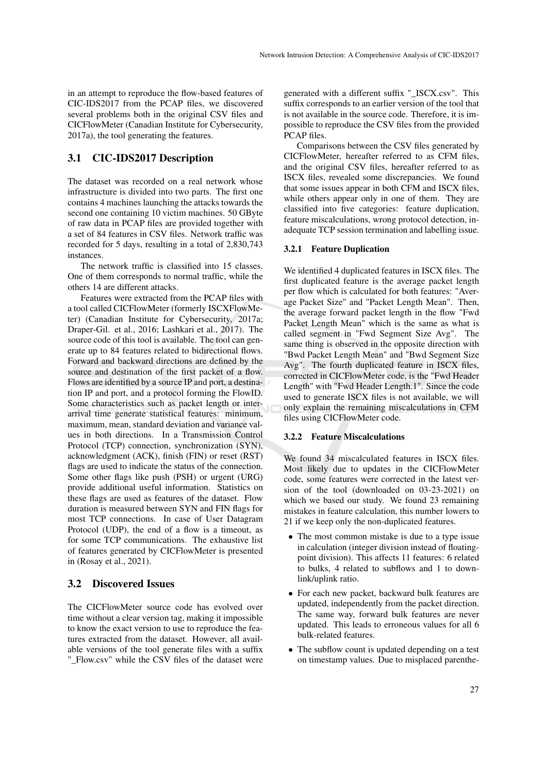in an attempt to reproduce the flow-based features of CIC-IDS2017 from the PCAP files, we discovered several problems both in the original CSV files and CICFlowMeter (Canadian Institute for Cybersecurity, 2017a), the tool generating the features.

## 3.1 CIC-IDS2017 Description

The dataset was recorded on a real network whose infrastructure is divided into two parts. The first one contains 4 machines launching the attacks towards the second one containing 10 victim machines. 50 GByte of raw data in PCAP files are provided together with a set of 84 features in CSV files. Network traffic was recorded for 5 days, resulting in a total of 2,830,743 instances.

The network traffic is classified into 15 classes. One of them corresponds to normal traffic, while the others 14 are different attacks.

Features were extracted from the PCAP files with a tool called CICFlowMeter (formerly ISCXFlowMeter) (Canadian Institute for Cybersecurity, 2017a; Draper-Gil. et al., 2016; Lashkari et al., 2017). The source code of this tool is available. The tool can generate up to 84 features related to bidirectional flows. Forward and backward directions are defined by the source and destination of the first packet of a flow. Flows are identified by a source IP and port, a destination IP and port, and a protocol forming the FlowID. Some characteristics such as packet length or interarrival time generate statistical features: minimum, maximum, mean, standard deviation and variance values in both directions. In a Transmission Control Protocol (TCP) connection, synchronization (SYN), acknowledgment (ACK), finish (FIN) or reset (RST) flags are used to indicate the status of the connection. Some other flags like push (PSH) or urgent (URG) provide additional useful information. Statistics on these flags are used as features of the dataset. Flow duration is measured between SYN and FIN flags for most TCP connections. In case of User Datagram Protocol (UDP), the end of a flow is a timeout, as for some TCP communications. The exhaustive list of features generated by CICFlowMeter is presented in (Rosay et al., 2021).

## 3.2 Discovered Issues

The CICFlowMeter source code has evolved over time without a clear version tag, making it impossible to know the exact version to use to reproduce the features extracted from the dataset. However, all available versions of the tool generate files with a suffix "\_Flow.csv" while the CSV files of the dataset were

generated with a different suffix "\_ISCX.csv". This suffix corresponds to an earlier version of the tool that is not available in the source code. Therefore, it is impossible to reproduce the CSV files from the provided PCAP files.

Comparisons between the CSV files generated by CICFlowMeter, hereafter referred to as CFM files, and the original CSV files, hereafter referred to as ISCX files, revealed some discrepancies. We found that some issues appear in both CFM and ISCX files, while others appear only in one of them. They are classified into five categories: feature duplication, feature miscalculations, wrong protocol detection, inadequate TCP session termination and labelling issue.

### 3.2.1 Feature Duplication

We identified 4 duplicated features in ISCX files. The first duplicated feature is the average packet length per flow which is calculated for both features: "Average Packet Size" and "Packet Length Mean". Then, the average forward packet length in the flow "Fwd Packet Length Mean" which is the same as what is called segment in "Fwd Segment Size Avg". The same thing is observed in the opposite direction with "Bwd Packet Length Mean" and "Bwd Segment Size Avg". The fourth duplicated feature in ISCX files, corrected in CICFlowMeter code, is the "Fwd Header Length" with "Fwd Header Length.1". Since the code used to generate ISCX files is not available, we will only explain the remaining miscalculations in CFM files using CICFlowMeter code.

### 3.2.2 Feature Miscalculations

We found 34 miscalculated features in ISCX files. Most likely due to updates in the CICFlowMeter code, some features were corrected in the latest version of the tool (downloaded on 03-23-2021) on which we based our study. We found 23 remaining mistakes in feature calculation, this number lowers to 21 if we keep only the non-duplicated features.

- The most common mistake is due to a type issue in calculation (integer division instead of floatingpoint division). This affects 11 features: 6 related to bulks, 4 related to subflows and 1 to downlink/uplink ratio.
- For each new packet, backward bulk features are updated, independently from the packet direction. The same way, forward bulk features are never updated. This leads to erroneous values for all 6 bulk-related features.
- The subflow count is updated depending on a test on timestamp values. Due to misplaced parenthe-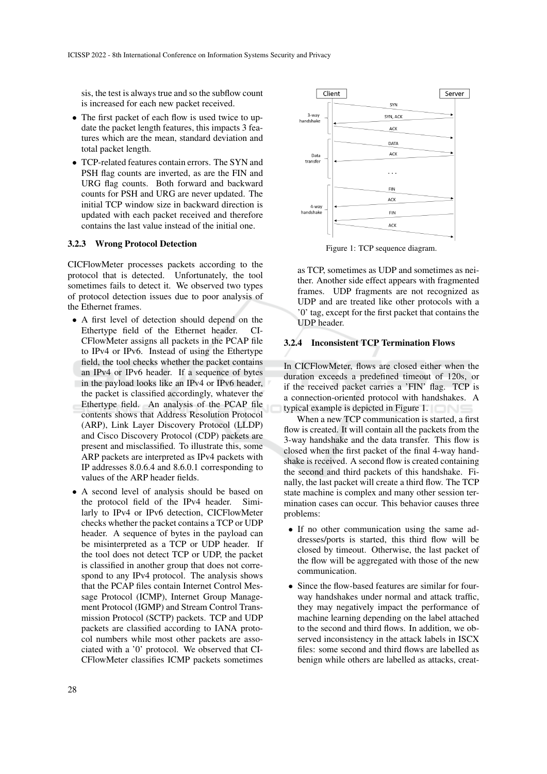sis, the test is always true and so the subflow count is increased for each new packet received.

- The first packet of each flow is used twice to update the packet length features, this impacts 3 features which are the mean, standard deviation and total packet length.
- TCP-related features contain errors. The SYN and PSH flag counts are inverted, as are the FIN and URG flag counts. Both forward and backward counts for PSH and URG are never updated. The initial TCP window size in backward direction is updated with each packet received and therefore contains the last value instead of the initial one.

#### 3.2.3 Wrong Protocol Detection

CICFlowMeter processes packets according to the protocol that is detected. Unfortunately, the tool sometimes fails to detect it. We observed two types of protocol detection issues due to poor analysis of the Ethernet frames.

- A first level of detection should depend on the Ethertype field of the Ethernet header. CI-CFlowMeter assigns all packets in the PCAP file to IPv4 or IPv6. Instead of using the Ethertype field, the tool checks whether the packet contains an IPv4 or IPv6 header. If a sequence of bytes in the payload looks like an IPv4 or IPv6 header, the packet is classified accordingly, whatever the Ethertype field. An analysis of the PCAP file contents shows that Address Resolution Protocol (ARP), Link Layer Discovery Protocol (LLDP) and Cisco Discovery Protocol (CDP) packets are present and misclassified. To illustrate this, some ARP packets are interpreted as IPv4 packets with IP addresses 8.0.6.4 and 8.6.0.1 corresponding to values of the ARP header fields.
- A second level of analysis should be based on the protocol field of the IPv4 header. Similarly to IPv4 or IPv6 detection, CICFlowMeter checks whether the packet contains a TCP or UDP header. A sequence of bytes in the payload can be misinterpreted as a TCP or UDP header. If the tool does not detect TCP or UDP, the packet is classified in another group that does not correspond to any IPv4 protocol. The analysis shows that the PCAP files contain Internet Control Message Protocol (ICMP), Internet Group Management Protocol (IGMP) and Stream Control Transmission Protocol (SCTP) packets. TCP and UDP packets are classified according to IANA protocol numbers while most other packets are associated with a '0' protocol. We observed that CI-CFlowMeter classifies ICMP packets sometimes



Figure 1: TCP sequence diagram.

as TCP, sometimes as UDP and sometimes as neither. Another side effect appears with fragmented frames. UDP fragments are not recognized as UDP and are treated like other protocols with a '0' tag, except for the first packet that contains the UDP header.

#### 3.2.4 Inconsistent TCP Termination Flows

In CICFlowMeter, flows are closed either when the duration exceeds a predefined timeout of 120s, or if the received packet carries a 'FIN' flag. TCP is a connection-oriented protocol with handshakes. A typical example is depicted in Figure 1.

When a new TCP communication is started, a first flow is created. It will contain all the packets from the 3-way handshake and the data transfer. This flow is closed when the first packet of the final 4-way handshake is received. A second flow is created containing the second and third packets of this handshake. Finally, the last packet will create a third flow. The TCP state machine is complex and many other session termination cases can occur. This behavior causes three problems:

- If no other communication using the same addresses/ports is started, this third flow will be closed by timeout. Otherwise, the last packet of the flow will be aggregated with those of the new communication.
- Since the flow-based features are similar for fourway handshakes under normal and attack traffic, they may negatively impact the performance of machine learning depending on the label attached to the second and third flows. In addition, we observed inconsistency in the attack labels in ISCX files: some second and third flows are labelled as benign while others are labelled as attacks, creat-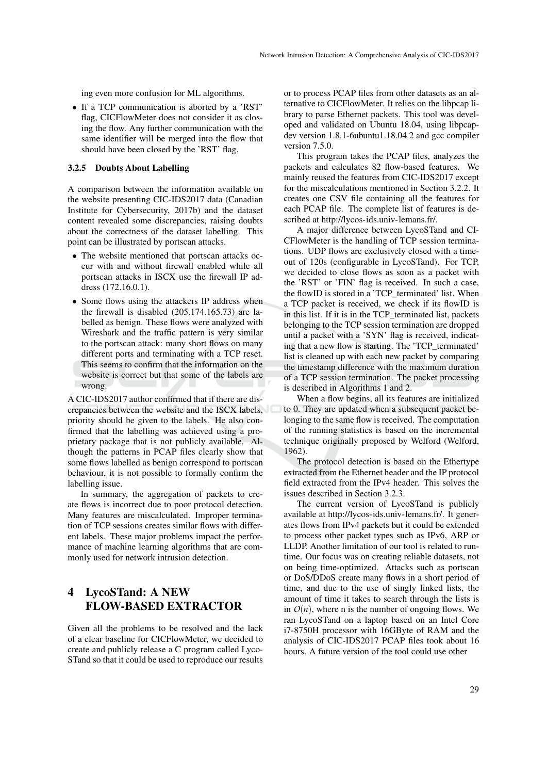ing even more confusion for ML algorithms.

• If a TCP communication is aborted by a 'RST' flag, CICFlowMeter does not consider it as closing the flow. Any further communication with the same identifier will be merged into the flow that should have been closed by the 'RST' flag.

#### 3.2.5 Doubts About Labelling

A comparison between the information available on the website presenting CIC-IDS2017 data (Canadian Institute for Cybersecurity, 2017b) and the dataset content revealed some discrepancies, raising doubts about the correctness of the dataset labelling. This point can be illustrated by portscan attacks.

- The website mentioned that portscan attacks occur with and without firewall enabled while all portscan attacks in ISCX use the firewall IP address (172.16.0.1).
- Some flows using the attackers IP address when the firewall is disabled (205.174.165.73) are labelled as benign. These flows were analyzed with Wireshark and the traffic pattern is very similar to the portscan attack: many short flows on many different ports and terminating with a TCP reset. This seems to confirm that the information on the website is correct but that some of the labels are wrong.

A CIC-IDS2017 author confirmed that if there are discrepancies between the website and the ISCX labels, priority should be given to the labels. He also confirmed that the labelling was achieved using a proprietary package that is not publicly available. Although the patterns in PCAP files clearly show that some flows labelled as benign correspond to portscan behaviour, it is not possible to formally confirm the labelling issue.

In summary, the aggregation of packets to create flows is incorrect due to poor protocol detection. Many features are miscalculated. Improper termination of TCP sessions creates similar flows with different labels. These major problems impact the performance of machine learning algorithms that are commonly used for network intrusion detection.

# 4 LycoSTand: A NEW FLOW-BASED EXTRACTOR

Given all the problems to be resolved and the lack of a clear baseline for CICFlowMeter, we decided to create and publicly release a C program called Lyco-STand so that it could be used to reproduce our results

or to process PCAP files from other datasets as an alternative to CICFlowMeter. It relies on the libpcap library to parse Ethernet packets. This tool was developed and validated on Ubuntu 18.04, using libpcapdev version 1.8.1-6ubuntu1.18.04.2 and gcc compiler version 7.5.0.

This program takes the PCAP files, analyzes the packets and calculates 82 flow-based features. We mainly reused the features from CIC-IDS2017 except for the miscalculations mentioned in Section 3.2.2. It creates one CSV file containing all the features for each PCAP file. The complete list of features is described at http://lycos-ids.univ-lemans.fr/.

A major difference between LycoSTand and CI-CFlowMeter is the handling of TCP session terminations. UDP flows are exclusively closed with a timeout of 120s (configurable in LycoSTand). For TCP, we decided to close flows as soon as a packet with the 'RST' or 'FIN' flag is received. In such a case, the flowID is stored in a 'TCP\_terminated' list. When a TCP packet is received, we check if its flowID is in this list. If it is in the TCP terminated list, packets belonging to the TCP session termination are dropped until a packet with a 'SYN' flag is received, indicating that a new flow is starting. The 'TCP\_terminated' list is cleaned up with each new packet by comparing the timestamp difference with the maximum duration of a TCP session termination. The packet processing is described in Algorithms 1 and 2.

When a flow begins, all its features are initialized to 0. They are updated when a subsequent packet belonging to the same flow is received. The computation of the running statistics is based on the incremental technique originally proposed by Welford (Welford, 1962).

The protocol detection is based on the Ethertype extracted from the Ethernet header and the IP protocol field extracted from the IPv4 header. This solves the issues described in Section 3.2.3.

The current version of LycoSTand is publicly available at http://lycos-ids.univ-lemans.fr/. It generates flows from IPv4 packets but it could be extended to process other packet types such as IPv6, ARP or LLDP. Another limitation of our tool is related to runtime. Our focus was on creating reliable datasets, not on being time-optimized. Attacks such as portscan or DoS/DDoS create many flows in a short period of time, and due to the use of singly linked lists, the amount of time it takes to search through the lists is in  $O(n)$ , where n is the number of ongoing flows. We ran LycoSTand on a laptop based on an Intel Core i7-8750H processor with 16GByte of RAM and the analysis of CIC-IDS2017 PCAP files took about 16 hours. A future version of the tool could use other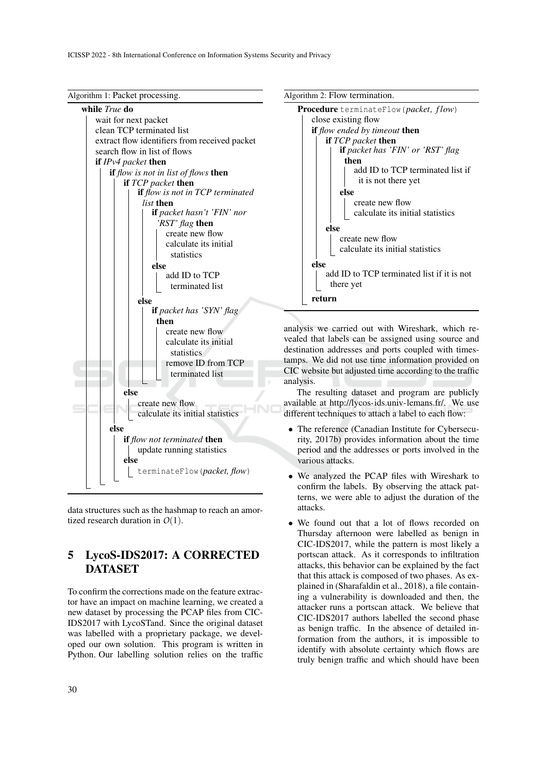

data structures such as the hashmap to reach an amortized research duration in *O*(1).

# 5 LycoS-IDS2017: A CORRECTED **DATASET**

To confirm the corrections made on the feature extractor have an impact on machine learning, we created a new dataset by processing the PCAP files from CIC-IDS2017 with LycoSTand. Since the original dataset was labelled with a proprietary package, we developed our own solution. This program is written in Python. Our labelling solution relies on the traffic





analysis we carried out with Wireshark, which revealed that labels can be assigned using source and destination addresses and ports coupled with timestamps. We did not use time information provided on CIC website but adjusted time according to the traffic analysis.

The resulting dataset and program are publicly available at http://lycos-ids.univ-lemans.fr/. We use different techniques to attach a label to each flow:

- The reference (Canadian Institute for Cybersecurity, 2017b) provides information about the time period and the addresses or ports involved in the various attacks.
- We analyzed the PCAP files with Wireshark to confirm the labels. By observing the attack patterns, we were able to adjust the duration of the attacks.
- We found out that a lot of flows recorded on Thursday afternoon were labelled as benign in CIC-IDS2017, while the pattern is most likely a portscan attack. As it corresponds to infiltration attacks, this behavior can be explained by the fact that this attack is composed of two phases. As explained in (Sharafaldin et al., 2018), a file containing a vulnerability is downloaded and then, the attacker runs a portscan attack. We believe that CIC-IDS2017 authors labelled the second phase as benign traffic. In the absence of detailed information from the authors, it is impossible to identify with absolute certainty which flows are truly benign traffic and which should have been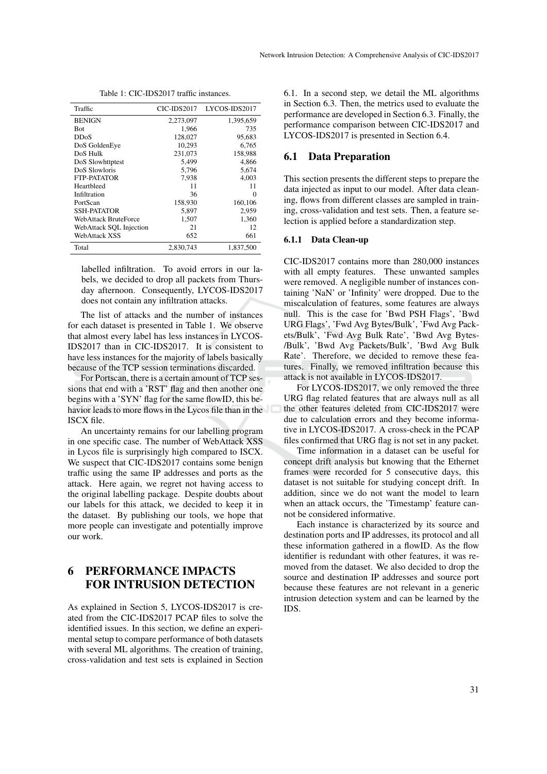Table 1: CIC-IDS2017 traffic instances.

| Traffic                 | CIC-IDS2017 | LYCOS-IDS2017 |
|-------------------------|-------------|---------------|
| <b>BENIGN</b>           | 2,273,097   | 1,395,659     |
| Bot                     | 1,966       | 735           |
| <b>DDoS</b>             | 128,027     | 95,683        |
| DoS GoldenEye           | 10.293      | 6.765         |
| DoS Hulk                | 231,073     | 158,988       |
| DoS Slowhttptest        | 5,499       | 4,866         |
| DoS Slowloris           | 5,796       | 5,674         |
| FTP-PATATOR             | 7,938       | 4,003         |
| Heartbleed              | 11          | 11            |
| Infiltration            | 36          | 0             |
| PortScan                | 158,930     | 160,106       |
| SSH-PATATOR             | 5,897       | 2,959         |
| WebAttack BruteForce    | 1,507       | 1,360         |
| WebAttack SQL Injection | 21          | 12            |
| WebAttack XSS           | 652         | 661           |
| Total                   | 2.830.743   | 1,837,500     |

labelled infiltration. To avoid errors in our labels, we decided to drop all packets from Thursday afternoon. Consequently, LYCOS-IDS2017 does not contain any infiltration attacks.

The list of attacks and the number of instances for each dataset is presented in Table 1. We observe that almost every label has less instances in LYCOS-IDS2017 than in CIC-IDS2017. It is consistent to have less instances for the majority of labels basically because of the TCP session terminations discarded.

For Portscan, there is a certain amount of TCP sessions that end with a 'RST' flag and then another one begins with a 'SYN' flag for the same flowID, this behavior leads to more flows in the Lycos file than in the ISCX file.

An uncertainty remains for our labelling program in one specific case. The number of WebAttack XSS in Lycos file is surprisingly high compared to ISCX. We suspect that CIC-IDS2017 contains some benign traffic using the same IP addresses and ports as the attack. Here again, we regret not having access to the original labelling package. Despite doubts about our labels for this attack, we decided to keep it in the dataset. By publishing our tools, we hope that more people can investigate and potentially improve our work.

# 6 PERFORMANCE IMPACTS FOR INTRUSION DETECTION

As explained in Section 5, LYCOS-IDS2017 is created from the CIC-IDS2017 PCAP files to solve the identified issues. In this section, we define an experimental setup to compare performance of both datasets with several ML algorithms. The creation of training, cross-validation and test sets is explained in Section

6.1. In a second step, we detail the ML algorithms in Section 6.3. Then, the metrics used to evaluate the performance are developed in Section 6.3. Finally, the performance comparison between CIC-IDS2017 and LYCOS-IDS2017 is presented in Section 6.4.

### 6.1 Data Preparation

This section presents the different steps to prepare the data injected as input to our model. After data cleaning, flows from different classes are sampled in training, cross-validation and test sets. Then, a feature selection is applied before a standardization step.

#### 6.1.1 Data Clean-up

CIC-IDS2017 contains more than 280,000 instances with all empty features. These unwanted samples were removed. A negligible number of instances containing 'NaN' or 'Infinity' were dropped. Due to the miscalculation of features, some features are always null. This is the case for 'Bwd PSH Flags', 'Bwd URG Flags', 'Fwd Avg Bytes/Bulk', 'Fwd Avg Packets/Bulk', 'Fwd Avg Bulk Rate', 'Bwd Avg Bytes- /Bulk', 'Bwd Avg Packets/Bulk', 'Bwd Avg Bulk Rate'. Therefore, we decided to remove these features. Finally, we removed infiltration because this attack is not available in LYCOS-IDS2017.

For LYCOS-IDS2017, we only removed the three URG flag related features that are always null as all the other features deleted from CIC-IDS2017 were due to calculation errors and they become informative in LYCOS-IDS2017. A cross-check in the PCAP files confirmed that URG flag is not set in any packet.

Time information in a dataset can be useful for concept drift analysis but knowing that the Ethernet frames were recorded for 5 consecutive days, this dataset is not suitable for studying concept drift. In addition, since we do not want the model to learn when an attack occurs, the 'Timestamp' feature cannot be considered informative.

Each instance is characterized by its source and destination ports and IP addresses, its protocol and all these information gathered in a flowID. As the flow identifier is redundant with other features, it was removed from the dataset. We also decided to drop the source and destination IP addresses and source port because these features are not relevant in a generic intrusion detection system and can be learned by the IDS.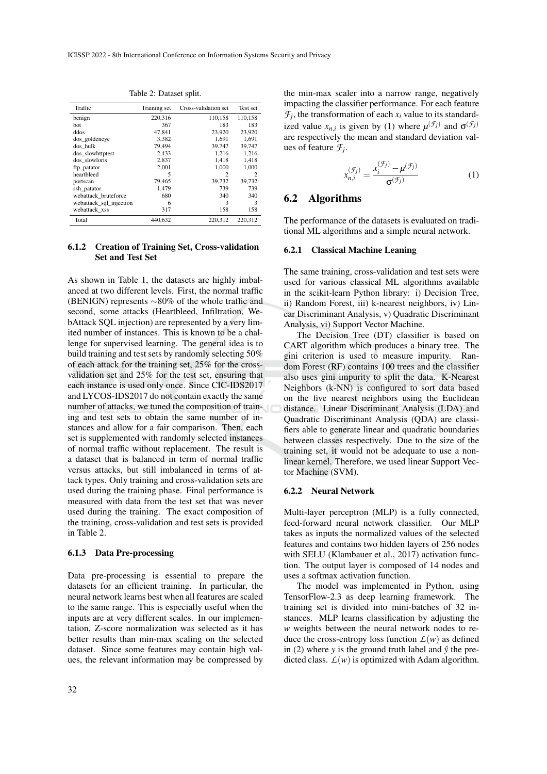Table 2: Dataset split.

| Traffic                 | Training set | Cross-validation set | Test set |
|-------------------------|--------------|----------------------|----------|
| benign                  | 220,316      | 110,158              | 110,158  |
| bot                     | 367          | 183                  | 183      |
| ddos                    | 47.841       | 23,920               | 23,920   |
| dos goldeneye           | 3,382        | 1.691                | 1,691    |
| dos hulk                | 79,494       | 39,747               | 39,747   |
| dos slowhttptest        | 2,433        | 1,216                | 1,216    |
| dos slowloris           | 2,837        | 1,418                | 1,418    |
| ftp_patator             | 2.001        | 1.000                | 1,000    |
| heartbleed              | 5            | $\mathfrak{D}$       | 2        |
| portscan                | 79,465       | 39,732               | 39,732   |
| ssh patator             | 1,479        | 739                  | 739      |
| webattack bruteforce    | 680          | 340                  | 340      |
| webattack_sql_injection | 6            | 3                    | 3        |
| webattack_xss           | 317          | 158                  | 158      |
| Total                   | 440.632      | 220.312              | 220,312  |

#### 6.1.2 Creation of Training Set, Cross-validation Set and Test Set

As shown in Table 1, the datasets are highly imbalanced at two different levels. First, the normal traffic (BENIGN) represents ∼80% of the whole traffic and second, some attacks (Heartbleed, Infiltration, WebAttack SQL injection) are represented by a very limited number of instances. This is known to be a challenge for supervised learning. The general idea is to build training and test sets by randomly selecting 50% of each attack for the training set, 25% for the crossvalidation set and 25% for the test set, ensuring that each instance is used only once. Since CIC-IDS2017 and LYCOS-IDS2017 do not contain exactly the same number of attacks, we tuned the composition of training and test sets to obtain the same number of instances and allow for a fair comparison. Then, each set is supplemented with randomly selected instances of normal traffic without replacement. The result is a dataset that is balanced in term of normal traffic versus attacks, but still imbalanced in terms of attack types. Only training and cross-validation sets are used during the training phase. Final performance is measured with data from the test set that was never used during the training. The exact composition of the training, cross-validation and test sets is provided in Table 2.

#### 6.1.3 Data Pre-processing

Data pre-processing is essential to prepare the datasets for an efficient training. In particular, the neural network learns best when all features are scaled to the same range. This is especially useful when the inputs are at very different scales. In our implementation, Z-score normalization was selected as it has better results than min-max scaling on the selected dataset. Since some features may contain high values, the relevant information may be compressed by

the min-max scaler into a narrow range, negatively impacting the classifier performance. For each feature  $\mathcal{F}_j$ , the transformation of each  $x_i$  value to its standardized value  $x_{n,i}$  is given by (1) where  $\mu^{(\mathcal{F}_j)}$  and  $\sigma^{(\mathcal{F}_j)}$ are respectively the mean and standard deviation values of feature *F<sup>j</sup>* .

$$
x_{n,i}^{(\mathcal{F}_j)} = \frac{x_i^{(\mathcal{F}_j)} - \mu^{(\mathcal{F}_j)}}{\sigma^{(\mathcal{F}_j)}}
$$
(1)

### 6.2 Algorithms

The performance of the datasets is evaluated on traditional ML algorithms and a simple neural network.

#### 6.2.1 Classical Machine Leaning

The same training, cross-validation and test sets were used for various classical ML algorithms available in the scikit-learn Python library: i) Decision Tree, ii) Random Forest, iii) k-nearest neighbors, iv) Linear Discriminant Analysis, v) Quadratic Discriminant Analysis, vi) Support Vector Machine.

The Decision Tree (DT) classifier is based on CART algorithm which produces a binary tree. The gini criterion is used to measure impurity. Random Forest (RF) contains 100 trees and the classifier also uses gini impurity to split the data. K-Nearest Neighbors (k-NN) is configured to sort data based on the five nearest neighbors using the Euclidean distance. Linear Discriminant Analysis (LDA) and Quadratic Discriminant Analysis (QDA) are classifiers able to generate linear and quadratic boundaries between classes respectively. Due to the size of the training set, it would not be adequate to use a nonlinear kernel. Therefore, we used linear Support Vector Machine (SVM).

#### 6.2.2 Neural Network

Multi-layer perceptron (MLP) is a fully connected, feed-forward neural network classifier. Our MLP takes as inputs the normalized values of the selected features and contains two hidden layers of 256 nodes with SELU (Klambauer et al., 2017) activation function. The output layer is composed of 14 nodes and uses a softmax activation function.

The model was implemented in Python, using TensorFlow-2.3 as deep learning framework. The training set is divided into mini-batches of 32 instances. MLP learns classification by adjusting the *w* weights between the neural network nodes to reduce the cross-entropy loss function  $L(w)$  as defined in (2) where *y* is the ground truth label and  $\hat{y}$  the predicted class.  $L(w)$  is optimized with Adam algorithm.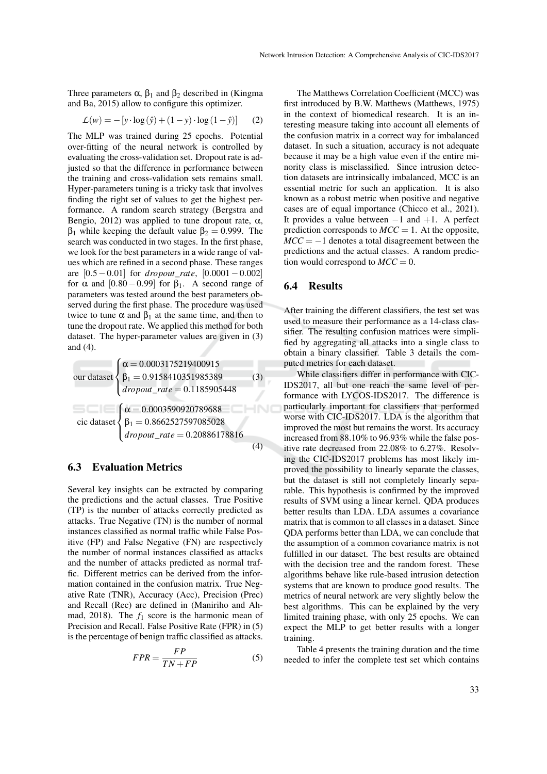Three parameters  $\alpha$ ,  $\beta_1$  and  $\beta_2$  described in (Kingma and Ba, 2015) allow to configure this optimizer.

$$
\mathcal{L}(w) = -[y \cdot \log(\hat{y}) + (1 - y) \cdot \log(1 - \hat{y})]
$$
 (2)

The MLP was trained during 25 epochs. Potential over-fitting of the neural network is controlled by evaluating the cross-validation set. Dropout rate is adjusted so that the difference in performance between the training and cross-validation sets remains small. Hyper-parameters tuning is a tricky task that involves finding the right set of values to get the highest performance. A random search strategy (Bergstra and Bengio, 2012) was applied to tune dropout rate,  $\alpha$ , β<sub>1</sub> while keeping the default value  $β<sub>2</sub> = 0.999$ . The search was conducted in two stages. In the first phase, we look for the best parameters in a wide range of values which are refined in a second phase. These ranges are [0.5−0.01] for *dropout*\_*rate*, [0.0001−0.002] for  $\alpha$  and  $[0.80 - 0.99]$  for  $\beta_1$ . A second range of parameters was tested around the best parameters observed during the first phase. The procedure was used twice to tune α and  $β_1$  at the same time, and then to tune the dropout rate. We applied this method for both dataset. The hyper-parameter values are given in (3) and (4).

our dataset

\n
$$
\begin{cases}\n\alpha = 0.0003175219400915 \\
\beta_1 = 0.9158410351985389\n\end{cases}
$$
\n(3)\n*dropout\_rate* = 0.1185905448\n\ncic dataset

\n
$$
\begin{cases}\n\alpha = 0.0003590920789688 \\
\beta_1 = 0.8662527597085028\n\end{cases}
$$
\n*dropout\_rate* = 0.20886178816\n(4)

## 6.3 Evaluation Metrics

Several key insights can be extracted by comparing the predictions and the actual classes. True Positive (TP) is the number of attacks correctly predicted as attacks. True Negative (TN) is the number of normal instances classified as normal traffic while False Positive (FP) and False Negative (FN) are respectively the number of normal instances classified as attacks and the number of attacks predicted as normal traffic. Different metrics can be derived from the information contained in the confusion matrix. True Negative Rate (TNR), Accuracy (Acc), Precision (Prec) and Recall (Rec) are defined in (Maniriho and Ahmad, 2018). The  $f_1$  score is the harmonic mean of Precision and Recall. False Positive Rate (FPR) in (5) is the percentage of benign traffic classified as attacks.

$$
FPR = \frac{FP}{TN + FP} \tag{5}
$$

The Matthews Correlation Coefficient (MCC) was first introduced by B.W. Matthews (Matthews, 1975) in the context of biomedical research. It is an interesting measure taking into account all elements of the confusion matrix in a correct way for imbalanced dataset. In such a situation, accuracy is not adequate because it may be a high value even if the entire minority class is misclassified. Since intrusion detection datasets are intrinsically imbalanced, MCC is an essential metric for such an application. It is also known as a robust metric when positive and negative cases are of equal importance (Chicco et al., 2021). It provides a value between  $-1$  and  $+1$ . A perfect prediction corresponds to  $MCC = 1$ . At the opposite,  $MCC = -1$  denotes a total disagreement between the predictions and the actual classes. A random prediction would correspond to  $MCC = 0$ .

#### 6.4 Results

After training the different classifiers, the test set was used to measure their performance as a 14-class classifier. The resulting confusion matrices were simplified by aggregating all attacks into a single class to obtain a binary classifier. Table 3 details the computed metrics for each dataset.

While classifiers differ in performance with CIC-IDS2017, all but one reach the same level of performance with LYCOS-IDS2017. The difference is particularly important for classifiers that performed worse with CIC-IDS2017. LDA is the algorithm that improved the most but remains the worst. Its accuracy increased from 88.10% to 96.93% while the false positive rate decreased from 22.08% to 6.27%. Resolving the CIC-IDS2017 problems has most likely improved the possibility to linearly separate the classes, but the dataset is still not completely linearly separable. This hypothesis is confirmed by the improved results of SVM using a linear kernel. QDA produces better results than LDA. LDA assumes a covariance matrix that is common to all classes in a dataset. Since QDA performs better than LDA, we can conclude that the assumption of a common covariance matrix is not fulfilled in our dataset. The best results are obtained with the decision tree and the random forest. These algorithms behave like rule-based intrusion detection systems that are known to produce good results. The metrics of neural network are very slightly below the best algorithms. This can be explained by the very limited training phase, with only 25 epochs. We can expect the MLP to get better results with a longer training.

Table 4 presents the training duration and the time needed to infer the complete test set which contains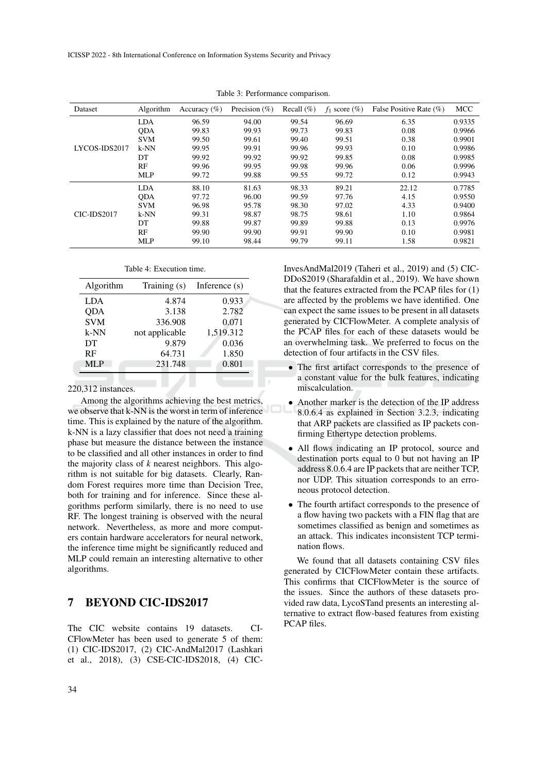| <b>Dataset</b> | Algorithm  | Accuracy $(\% )$ | Precision $(\% )$ | Recall $(\%)$ | $f_1$ score $(\%)$ | False Positive Rate (%) | <b>MCC</b> |
|----------------|------------|------------------|-------------------|---------------|--------------------|-------------------------|------------|
|                | <b>LDA</b> | 96.59            | 94.00             | 99.54         | 96.69              | 6.35                    | 0.9335     |
|                | <b>ODA</b> | 99.83            | 99.93             | 99.73         | 99.83              | 0.08                    | 0.9966     |
|                | <b>SVM</b> | 99.50            | 99.61             | 99.40         | 99.51              | 0.38                    | 0.9901     |
| LYCOS-IDS2017  | $k-NN$     | 99.95            | 99.91             | 99.96         | 99.93              | 0.10                    | 0.9986     |
|                | DT         | 99.92            | 99.92             | 99.92         | 99.85              | 0.08                    | 0.9985     |
|                | RF         | 99.96            | 99.95             | 99.98         | 99.96              | 0.06                    | 0.9996     |
|                | <b>MLP</b> | 99.72            | 99.88             | 99.55         | 99.72              | 0.12                    | 0.9943     |
|                | <b>LDA</b> | 88.10            | 81.63             | 98.33         | 89.21              | 22.12                   | 0.7785     |
|                | <b>ODA</b> | 97.72            | 96.00             | 99.59         | 97.76              | 4.15                    | 0.9550     |
|                | <b>SVM</b> | 96.98            | 95.78             | 98.30         | 97.02              | 4.33                    | 0.9400     |
| CIC-IDS2017    | $k-NN$     | 99.31            | 98.87             | 98.75         | 98.61              | 1.10                    | 0.9864     |
|                | DT         | 99.88            | 99.87             | 99.89         | 99.88              | 0.13                    | 0.9976     |
|                | RF         | 99.90            | 99.90             | 99.91         | 99.90              | 0.10                    | 0.9981     |
|                | <b>MLP</b> | 99.10            | 98.44             | 99.79         | 99.11              | 1.58                    | 0.9821     |

Table 3: Performance comparison.

|  | Table 4: Execution time. |  |
|--|--------------------------|--|
|--|--------------------------|--|

| Algorithm  | Training (s)   | Inference $(s)$ |
|------------|----------------|-----------------|
| <b>LDA</b> | 4.874          | 0.933           |
| <b>ODA</b> | 3.138          | 2.782           |
| <b>SVM</b> | 336.908        | 0.071           |
| $k-NN$     | not applicable | 1,519.312       |
| DT         | 9.879          | 0.036           |
| <b>RF</b>  | 64.731         | 1.850           |
| MI.P       | 231.748        | 0.801           |

#### 220,312 instances.

Among the algorithms achieving the best metrics, we observe that k-NN is the worst in term of inference time. This is explained by the nature of the algorithm. k-NN is a lazy classifier that does not need a training phase but measure the distance between the instance to be classified and all other instances in order to find the majority class of *k* nearest neighbors. This algorithm is not suitable for big datasets. Clearly, Random Forest requires more time than Decision Tree, both for training and for inference. Since these algorithms perform similarly, there is no need to use RF. The longest training is observed with the neural network. Nevertheless, as more and more computers contain hardware accelerators for neural network, the inference time might be significantly reduced and MLP could remain an interesting alternative to other algorithms.

## 7 BEYOND CIC-IDS2017

The CIC website contains 19 datasets. CI-CFlowMeter has been used to generate 5 of them: (1) CIC-IDS2017, (2) CIC-AndMal2017 (Lashkari et al., 2018), (3) CSE-CIC-IDS2018, (4) CIC-

InvesAndMal2019 (Taheri et al., 2019) and (5) CIC-DDoS2019 (Sharafaldin et al., 2019). We have shown that the features extracted from the PCAP files for (1) are affected by the problems we have identified. One can expect the same issues to be present in all datasets generated by CICFlowMeter. A complete analysis of the PCAP files for each of these datasets would be an overwhelming task. We preferred to focus on the detection of four artifacts in the CSV files.

- The first artifact corresponds to the presence of a constant value for the bulk features, indicating miscalculation.
- Another marker is the detection of the IP address 8.0.6.4 as explained in Section 3.2.3, indicating that ARP packets are classified as IP packets confirming Ethertype detection problems.
- All flows indicating an IP protocol, source and destination ports equal to 0 but not having an IP address 8.0.6.4 are IP packets that are neither TCP, nor UDP. This situation corresponds to an erroneous protocol detection.
- The fourth artifact corresponds to the presence of a flow having two packets with a FIN flag that are sometimes classified as benign and sometimes as an attack. This indicates inconsistent TCP termination flows.

We found that all datasets containing CSV files generated by CICFlowMeter contain these artifacts. This confirms that CICFlowMeter is the source of the issues. Since the authors of these datasets provided raw data, LycoSTand presents an interesting alternative to extract flow-based features from existing PCAP files.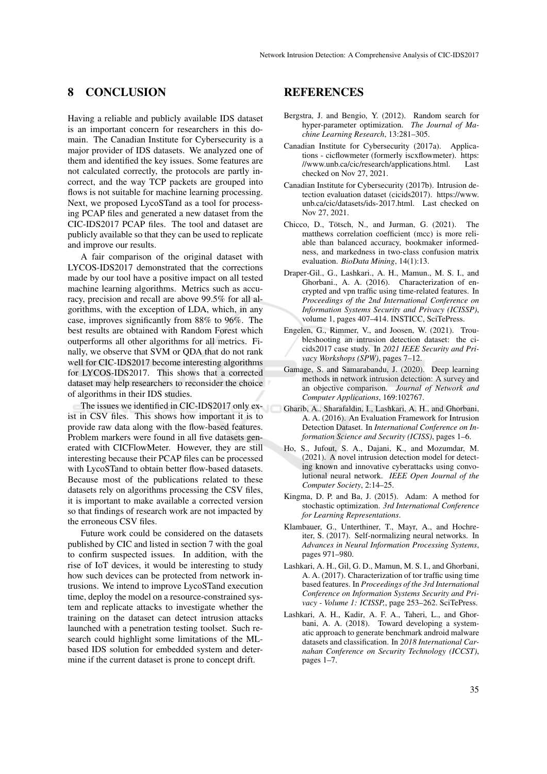## 8 CONCLUSION

Having a reliable and publicly available IDS dataset is an important concern for researchers in this domain. The Canadian Institute for Cybersecurity is a major provider of IDS datasets. We analyzed one of them and identified the key issues. Some features are not calculated correctly, the protocols are partly incorrect, and the way TCP packets are grouped into flows is not suitable for machine learning processing. Next, we proposed LycoSTand as a tool for processing PCAP files and generated a new dataset from the CIC-IDS2017 PCAP files. The tool and dataset are publicly available so that they can be used to replicate and improve our results.

A fair comparison of the original dataset with LYCOS-IDS2017 demonstrated that the corrections made by our tool have a positive impact on all tested machine learning algorithms. Metrics such as accuracy, precision and recall are above 99.5% for all algorithms, with the exception of LDA, which, in any case, improves significantly from 88% to 96%. The best results are obtained with Random Forest which outperforms all other algorithms for all metrics. Finally, we observe that SVM or QDA that do not rank well for CIC-IDS2017 become interesting algorithms for LYCOS-IDS2017. This shows that a corrected dataset may help researchers to reconsider the choice of algorithms in their IDS studies.

The issues we identified in CIC-IDS2017 only exist in CSV files. This shows how important it is to provide raw data along with the flow-based features. Problem markers were found in all five datasets generated with CICFlowMeter. However, they are still interesting because their PCAP files can be processed with LycoSTand to obtain better flow-based datasets. Because most of the publications related to these datasets rely on algorithms processing the CSV files. it is important to make available a corrected version so that findings of research work are not impacted by the erroneous CSV files.

Future work could be considered on the datasets published by CIC and listed in section 7 with the goal to confirm suspected issues. In addition, with the rise of IoT devices, it would be interesting to study how such devices can be protected from network intrusions. We intend to improve LycoSTand execution time, deploy the model on a resource-constrained system and replicate attacks to investigate whether the training on the dataset can detect intrusion attacks launched with a penetration testing toolset. Such research could highlight some limitations of the MLbased IDS solution for embedded system and determine if the current dataset is prone to concept drift.

## REFERENCES

- Bergstra, J. and Bengio, Y. (2012). Random search for hyper-parameter optimization. *The Journal of Machine Learning Research*, 13:281–305.
- Canadian Institute for Cybersecurity (2017a). Applications - cicflowmeter (formerly iscxflowmeter). https: //www.unb.ca/cic/research/applications.html. Last checked on Nov 27, 2021.
- Canadian Institute for Cybersecurity (2017b). Intrusion detection evaluation dataset (cicids2017). https://www. unb.ca/cic/datasets/ids-2017.html. Last checked on Nov 27, 2021.
- Chicco, D., Tötsch, N., and Jurman, G. (2021). The matthews correlation coefficient (mcc) is more reliable than balanced accuracy, bookmaker informedness, and markedness in two-class confusion matrix evaluation. *BioData Mining*, 14(1):13.
- Draper-Gil., G., Lashkari., A. H., Mamun., M. S. I., and Ghorbani., A. A. (2016). Characterization of encrypted and vpn traffic using time-related features. In *Proceedings of the 2nd International Conference on Information Systems Security and Privacy (ICISSP)*, volume 1, pages 407–414. INSTICC, SciTePress.
- Engelen, G., Rimmer, V., and Joosen, W. (2021). Troubleshooting an intrusion detection dataset: the cicids2017 case study. In *2021 IEEE Security and Privacy Workshops (SPW)*, pages 7–12.
- Gamage, S. and Samarabandu, J. (2020). Deep learning methods in network intrusion detection: A survey and an objective comparison. *Journal of Network and Computer Applications*, 169:102767.
- Gharib, A., Sharafaldin, I., Lashkari, A. H., and Ghorbani, A. A. (2016). An Evaluation Framework for Intrusion Detection Dataset. In *International Conference on Information Science and Security (ICISS)*, pages 1–6.
- Ho, S., Jufout, S. A., Dajani, K., and Mozumdar, M. (2021). A novel intrusion detection model for detecting known and innovative cyberattacks using convolutional neural network. *IEEE Open Journal of the Computer Society*, 2:14–25.
- Kingma, D. P. and Ba, J. (2015). Adam: A method for stochastic optimization. *3rd International Conference for Learning Representations*.
- Klambauer, G., Unterthiner, T., Mayr, A., and Hochreiter, S. (2017). Self-normalizing neural networks. In *Advances in Neural Information Processing Systems*, pages 971–980.
- Lashkari, A. H., Gil, G. D., Mamun, M. S. I., and Ghorbani, A. A. (2017). Characterization of tor traffic using time based features. In *Proceedings of the 3rd International Conference on Information Systems Security and Privacy - Volume 1: ICISSP,*, page 253–262. SciTePress.
- Lashkari, A. H., Kadir, A. F. A., Taheri, L., and Ghorbani, A. A. (2018). Toward developing a systematic approach to generate benchmark android malware datasets and classification. In *2018 International Carnahan Conference on Security Technology (ICCST)*, pages 1–7.